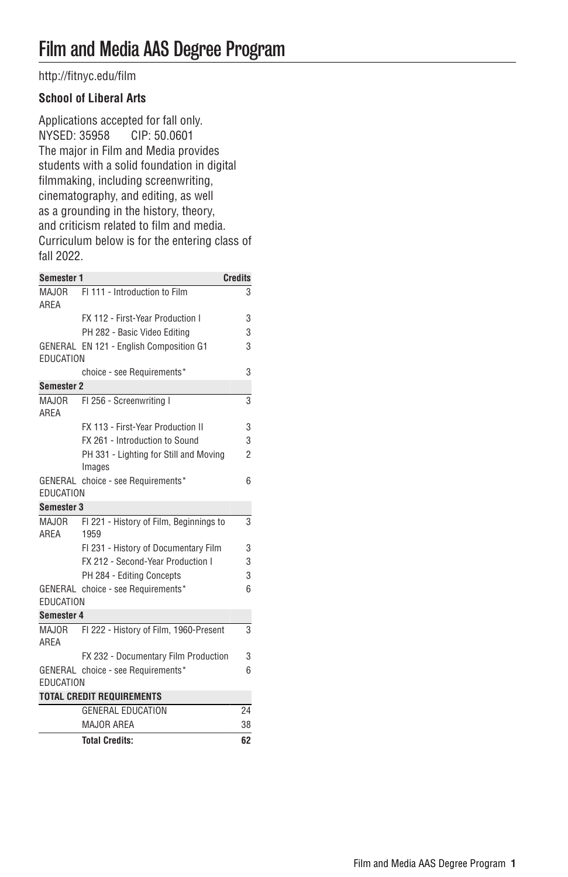[http://fitnyc.edu/film](http://fitnyc.edu/film/)

## **School of Liberal Arts**

Applications accepted for fall only.<br>NYSED: 35958 CIP: 50.0601 NYSED: 35958 The major in Film and Media provides students with a solid foundation in digital filmmaking, including screenwriting, cinematography, and editing, as well as a grounding in the history, theory, and criticism related to film and media. Curriculum below is for the entering class of fall 2022.

| <b>Semester 1</b>                |                                                  | <b>Credits</b> |  |
|----------------------------------|--------------------------------------------------|----------------|--|
| ARFA                             | MAJOR FI 111 - Introduction to Film              | 3              |  |
|                                  | FX 112 - First-Year Production I                 | 3              |  |
|                                  | PH 282 - Basic Video Editing                     | 3              |  |
| EDUCATION                        | GENERAL EN 121 - English Composition G1          | 3              |  |
|                                  | choice - see Requirements*                       | 3              |  |
| <b>Semester 2</b>                |                                                  |                |  |
| ARFA                             | MAJOR FI 256 - Screenwriting I                   | 3              |  |
|                                  | FX 113 - First-Year Production II                | 3              |  |
|                                  | FX 261 - Introduction to Sound                   | 3              |  |
|                                  | PH 331 - Lighting for Still and Moving<br>Images | $\overline{2}$ |  |
|                                  | GENERAL choice - see Requirements*               | 6              |  |
| EDUCATION                        |                                                  |                |  |
| <b>Semester 3</b>                |                                                  |                |  |
| MAJOR<br>ARFA                    | FI 221 - History of Film. Beginnings to<br>1959  | 3              |  |
|                                  | FI 231 - History of Documentary Film             | 3              |  |
|                                  | FX 212 - Second-Year Production I                | 3              |  |
|                                  | PH 284 - Editing Concepts                        | 3              |  |
|                                  | GENERAL choice - see Requirements*               | 6              |  |
| EDUCATION                        |                                                  |                |  |
| Semester 4                       |                                                  |                |  |
| MAJOR<br>ARFA                    | FI 222 - History of Film, 1960-Present           | 3              |  |
|                                  | FX 232 - Documentary Film Production             | 3              |  |
| EDUCATION                        | GENERAL choice - see Requirements*               | 6              |  |
| <b>TOTAL CREDIT REQUIREMENTS</b> |                                                  |                |  |
|                                  | <b>GENERAL EDUCATION</b>                         | 24             |  |
|                                  | MAJOR AREA                                       | 38             |  |

| <b>IVIAVUILAILA</b>   |  |
|-----------------------|--|
| <b>Total Credits:</b> |  |